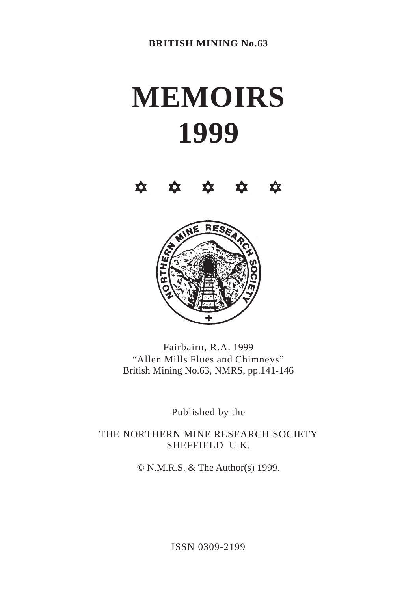# **MEMOIRS 1999**





Fairbairn, R.A. 1999 "Allen Mills Flues and Chimneys" British Mining No.63, NMRS, pp.141-146

Published by the

THE NORTHERN MINE RESEARCH SOCIETY SHEFFIELD U.K.

© N.M.R.S. & The Author(s) 1999.

ISSN 0309-2199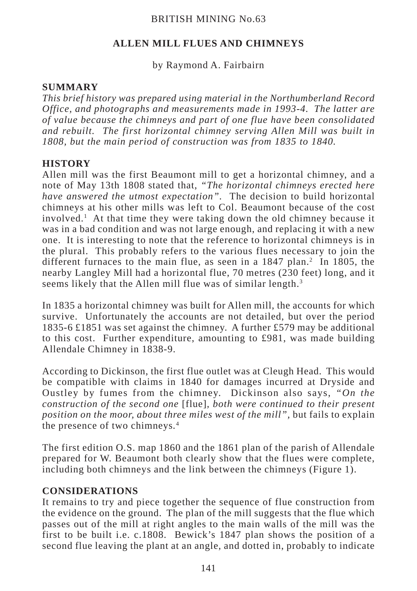## BRITISH MINING No.63

## **ALLEN MILL FLUES AND CHIMNEYS**

#### by Raymond A. Fairbairn

#### **SUMMARY**

*This brief history was prepared using material in the Northumberland Record Office, and photographs and measurements made in 1993-4. The latter are of value because the chimneys and part of one flue have been consolidated and rebuilt. The first horizontal chimney serving Allen Mill was built in 1808, but the main period of construction was from 1835 to 1840.*

#### **HISTORY**

Allen mill was the first Beaumont mill to get a horizontal chimney, and a note of May 13th 1808 stated that, *"The horizontal chimneys erected here have answered the utmost expectation".* The decision to build horizontal chimneys at his other mills was left to Col. Beaumont because of the cost involved.1 At that time they were taking down the old chimney because it was in a bad condition and was not large enough, and replacing it with a new one. It is interesting to note that the reference to horizontal chimneys is in the plural. This probably refers to the various flues necessary to join the different furnaces to the main flue, as seen in a  $1847$  plan.<sup>2</sup> In 1805, the nearby Langley Mill had a horizontal flue, 70 metres (230 feet) long, and it seems likely that the Allen mill flue was of similar length.<sup>3</sup>

In 1835 a horizontal chimney was built for Allen mill, the accounts for which survive. Unfortunately the accounts are not detailed, but over the period 1835-6 £1851 was set against the chimney. A further £579 may be additional to this cost. Further expenditure, amounting to  $\text{\pounds}981$ , was made building Allendale Chimney in 1838-9.

According to Dickinson, the first flue outlet was at Cleugh Head. This would be compatible with claims in 1840 for damages incurred at Dryside and Oustley by fumes from the chimney. Dickinson also says, *"On the construction of the second one* [flue]*, both were continued to their present position on the moor, about three miles west of the mill",* but fails to explain the presence of two chimneys*.* 4

The first edition O.S. map 1860 and the 1861 plan of the parish of Allendale prepared for W. Beaumont both clearly show that the flues were complete, including both chimneys and the link between the chimneys (Figure 1).

## **CONSIDERATIONS**

It remains to try and piece together the sequence of flue construction from the evidence on the ground. The plan of the mill suggests that the flue which passes out of the mill at right angles to the main walls of the mill was the first to be built i.e. c.1808. Bewick's 1847 plan shows the position of a second flue leaving the plant at an angle, and dotted in, probably to indicate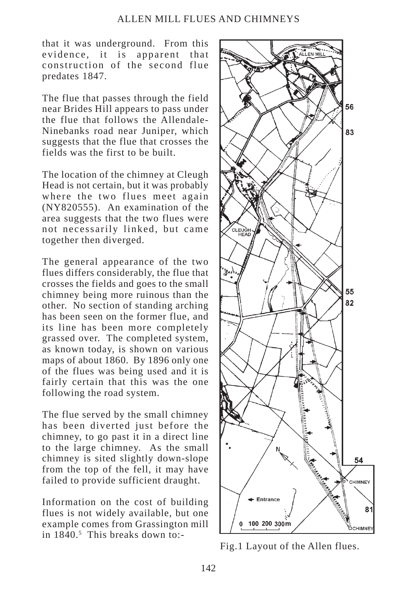#### ALLEN MILL FLUES AND CHIMNEYS

that it was underground. From this evidence, it is apparent that construction of the second flue predates 1847.

The flue that passes through the field near Brides Hill appears to pass under the flue that follows the Allendale-Ninebanks road near Juniper, which suggests that the flue that crosses the fields was the first to be built.

The location of the chimney at Cleugh Head is not certain, but it was probably where the two flues meet again (NY820555). An examination of the area suggests that the two flues were not necessarily linked, but came together then diverged.

The general appearance of the two flues differs considerably, the flue that crosses the fields and goes to the small chimney being more ruinous than the other. No section of standing arching has been seen on the former flue, and its line has been more completely grassed over. The completed system, as known today, is shown on various maps of about 1860. By 1896 only one of the flues was being used and it is fairly certain that this was the one following the road system.

The flue served by the small chimney has been diverted just before the chimney, to go past it in a direct line to the large chimney. As the small chimney is sited slightly down-slope from the top of the fell, it may have failed to provide sufficient draught.

Information on the cost of building flues is not widely available, but one example comes from Grassington mill in 1840.<sup>5</sup> This breaks down to:-



Fig.1 Layout of the Allen flues.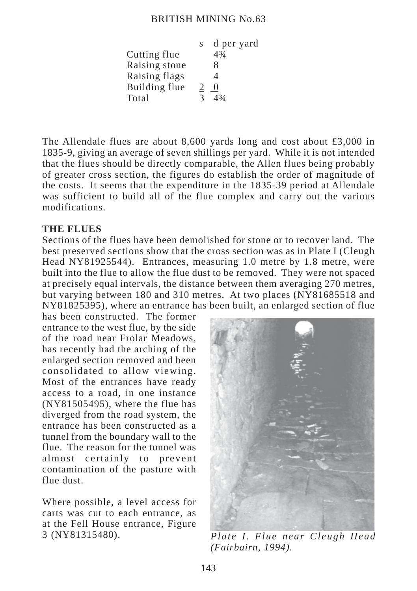#### BRITISH MINING No.63

| S             | d per yard           |
|---------------|----------------------|
|               | $4\frac{3}{4}$       |
|               | 8                    |
|               | 4                    |
| 2             | $\theta$             |
| $\mathcal{R}$ | $\Delta \frac{3}{4}$ |
|               |                      |

The Allendale flues are about 8,600 yards long and cost about  $\text{\pounds}3,000$  in 1835-9, giving an average of seven shillings per yard. While it is not intended that the flues should be directly comparable, the Allen flues being probably of greater cross section, the figures do establish the order of magnitude of the costs. It seems that the expenditure in the 1835-39 period at Allendale was sufficient to build all of the flue complex and carry out the various modifications.

## **THE FLUES**

Sections of the flues have been demolished for stone or to recover land. The best preserved sections show that the cross section was as in Plate I (Cleugh Head NY81925544). Entrances, measuring 1.0 metre by 1.8 metre, were built into the flue to allow the flue dust to be removed. They were not spaced at precisely equal intervals, the distance between them averaging 270 metres, but varying between 180 and 310 metres. At two places (NY81685518 and NY81825395), where an entrance has been built, an enlarged section of flue

has been constructed. The former entrance to the west flue, by the side of the road near Frolar Meadows, has recently had the arching of the enlarged section removed and been consolidated to allow viewing. Most of the entrances have ready access to a road, in one instance (NY81505495), where the flue has diverged from the road system, the entrance has been constructed as a tunnel from the boundary wall to the flue. The reason for the tunnel was almost certainly to prevent contamination of the pasture with flue dust.

Where possible, a level access for carts was cut to each entrance, as at the Fell House entrance, Figure 3 (NY81315480).



*Plate I. Flue near Cleugh Head (Fairbairn, 1994).*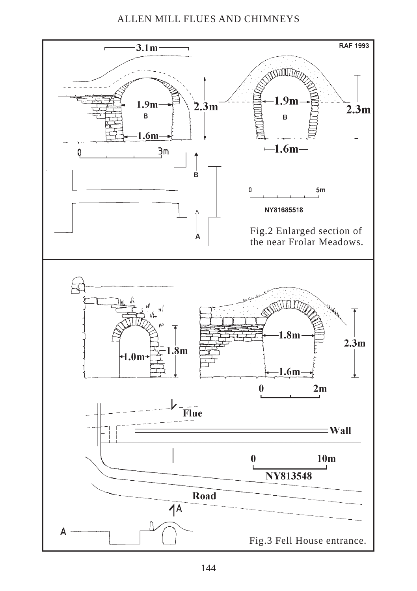## ALLEN MILL FLUES AND CHIMNEYS

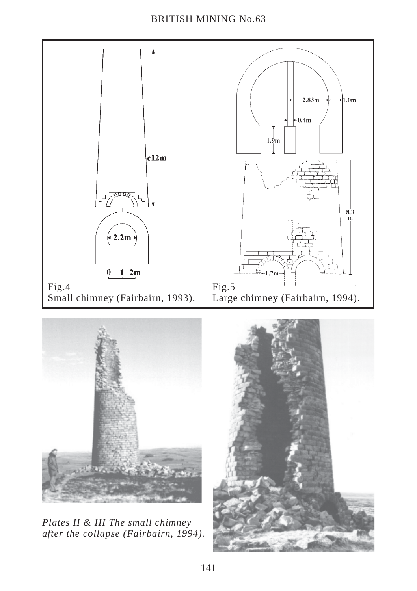

*Plates II & III The small chimney after the collapse (Fairbairn, 1994).*